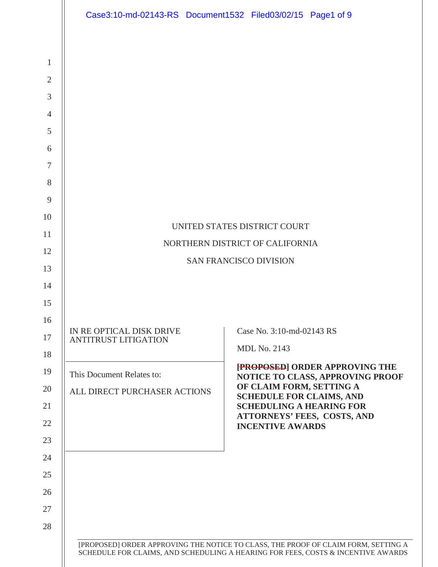|                | Case3:10-md-02143-RS Document1532 Filed03/02/15 Page1 of 9 |                                                                                    |
|----------------|------------------------------------------------------------|------------------------------------------------------------------------------------|
|                |                                                            |                                                                                    |
| $\mathbf{1}$   |                                                            |                                                                                    |
| $\overline{2}$ |                                                            |                                                                                    |
| 3              |                                                            |                                                                                    |
| $\overline{4}$ |                                                            |                                                                                    |
| 5              |                                                            |                                                                                    |
| 6              |                                                            |                                                                                    |
| $\tau$         |                                                            |                                                                                    |
| 8              |                                                            |                                                                                    |
| 9              |                                                            |                                                                                    |
| 10             |                                                            | UNITED STATES DISTRICT COURT                                                       |
| 11             |                                                            | NORTHERN DISTRICT OF CALIFORNIA                                                    |
| 12             |                                                            | <b>SAN FRANCISCO DIVISION</b>                                                      |
| 13             |                                                            |                                                                                    |
| 14             |                                                            |                                                                                    |
| 15             |                                                            |                                                                                    |
| 16             | IN RE OPTICAL DISK DRIVE                                   | Case No. 3:10-md-02143 RS                                                          |
| 17             | <b>ANTITRUST LITIGATION</b>                                | <b>MDL No. 2143</b>                                                                |
| 18             |                                                            | [PROPOSED] ORDER APPROVING THE                                                     |
| 19             | This Document Relates to:                                  | NOTICE TO CLASS, APPROVING PROOF<br>OF CLAIM FORM, SETTING A                       |
| 20             | ALL DIRECT PURCHASER ACTIONS                               | <b>SCHEDULE FOR CLAIMS, AND</b>                                                    |
| 21<br>22       |                                                            | <b>SCHEDULING A HEARING FOR</b><br>ATTORNEYS' FEES, COSTS, AND                     |
| 23             |                                                            | <b>INCENTIVE AWARDS</b>                                                            |
| 24             |                                                            |                                                                                    |
| 25             |                                                            |                                                                                    |
| 26             |                                                            |                                                                                    |
| 27             |                                                            |                                                                                    |
| 28             |                                                            |                                                                                    |
|                |                                                            | [PROPOSED] ORDER APPROVING THE NOTICE TO CLASS, THE PROOF OF CLAIM FORM, SETTING A |
|                |                                                            | SCHEDULE FOR CLAIMS, AND SCHEDULING A HEARING FOR FEES, COSTS & INCENTIVE AWARDS   |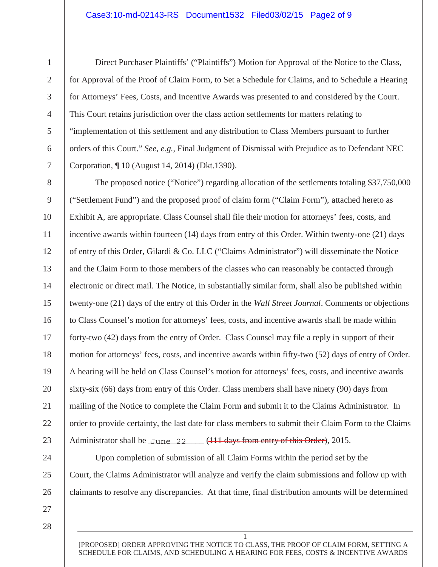#### Case3:10-md-02143-RS Document1532 Filed03/02/15 Page2 of 9

1

Direct Purchaser Plaintiffs' ("Plaintiffs") Motion for Approval of the Notice to the Class, for Approval of the Proof of Claim Form, to Set a Schedule for Claims, and to Schedule a Hearing for Attorneys' Fees, Costs, and Incentive Awards was presented to and considered by the Court. This Court retains jurisdiction over the class action settlements for matters relating to "implementation of this settlement and any distribution to Class Members pursuant to further orders of this Court." *See, e.g.*, Final Judgment of Dismissal with Prejudice as to Defendant NEC Corporation, ¶ 10 (August 14, 2014) (Dkt.1390).

The proposed notice ("Notice") regarding allocation of the settlements totaling \$37,750,000 ("Settlement Fund") and the proposed proof of claim form ("Claim Form"), attached hereto as Exhibit A, are appropriate. Class Counsel shall file their motion for attorneys' fees, costs, and incentive awards within fourteen (14) days from entry of this Order. Within twenty-one (21) days of entry of this Order, Gilardi & Co. LLC ("Claims Administrator") will disseminate the Notice and the Claim Form to those members of the classes who can reasonably be contacted through electronic or direct mail. The Notice, in substantially similar form, shall also be published within twenty-one (21) days of the entry of this Order in the *Wall Street Journal*. Comments or objections to Class Counsel's motion for attorneys' fees, costs, and incentive awards shall be made within forty-two (42) days from the entry of Order. Class Counsel may file a reply in support of their motion for attorneys' fees, costs, and incentive awards within fifty-two (52) days of entry of Order. A hearing will be held on Class Counsel's motion for attorneys' fees, costs, and incentive awards sixty-six (66) days from entry of this Order. Class members shall have ninety (90) days from mailing of the Notice to complete the Claim Form and submit it to the Claims Administrator. In order to provide certainty, the last date for class members to submit their Claim Form to the Claims Administrator shall be June 22 (111 days from entry of this Order), 2015.

Upon completion of submission of all Claim Forms within the period set by the Court, the Claims Administrator will analyze and verify the claim submissions and follow up with claimants to resolve any discrepancies. At that time, final distribution amounts will be determined

27

24

25

26

28

1 [PROPOSED] ORDER APPROVING THE NOTICE TO CLASS, THE PROOF OF CLAIM FORM, SETTING A SCHEDULE FOR CLAIMS, AND SCHEDULING A HEARING FOR FEES, COSTS & INCENTIVE AWARDS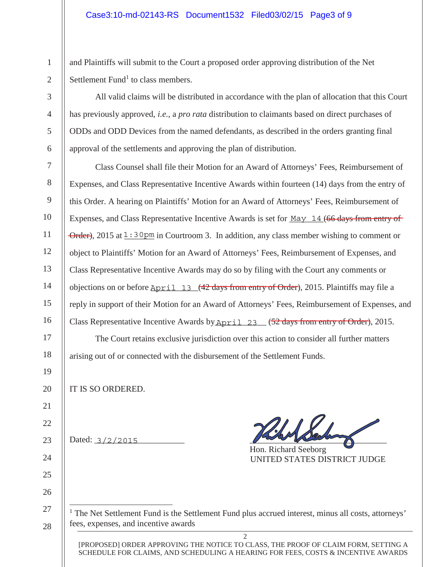#### Case3:10-md-02143-RS Document1532 Filed03/02/15 Page3 of 9

and Plaintiffs will submit to the Court a proposed order approving distribution of the Net Settlement Fund<sup>1</sup> to class members.

All valid claims will be distributed in accordance with the plan of allocation that this Court has previously approved, *i.e.,* a *pro rata* distribution to claimants based on direct purchases of ODDs and ODD Devices from the named defendants, as described in the orders granting final approval of the settlements and approving the plan of distribution.

Class Counsel shall file their Motion for an Award of Attorneys' Fees, Reimbursement of Expenses, and Class Representative Incentive Awards within fourteen (14) days from the entry of this Order. A hearing on Plaintiffs' Motion for an Award of Attorneys' Fees, Reimbursement of Expenses, and Class Representative Incentive Awards is set for May 14 (66 days from entry of Order), 2015 at  $1:30$  pm in Courtroom 3. In addition, any class member wishing to comment or object to Plaintiffs' Motion for an Award of Attorneys' Fees, Reimbursement of Expenses, and Class Representative Incentive Awards may do so by filing with the Court any comments or objections on or before **April** 13 (42 days from entry of Order), 2015. Plaintiffs may file a reply in support of their Motion for an Award of Attorneys' Fees, Reimbursement of Expenses, and Class Representative Incentive Awards by April 23 (52 days from entry of Order), 2015. The Court retains exclusive jurisdiction over this action to consider all further matters

arising out of or connected with the disbursement of the Settlement Funds.

IT IS SO ORDERED.

1

2

3

4

5

6

7

8

9

10

11

12

13

14

15

16

17

18

19

20

21

22

23

24

25

26

27

28

Dated:  $3/2/2015$  and  $2/2$   $1/2015$ 

Hon. Richard Seeborg UNITED STATES DISTRICT JUDGE

 $<sup>1</sup>$  The Net Settlement Fund is the Settlement Fund plus accrued interest, minus all costs, attorneys'</sup> fees, expenses, and incentive awards

2 [PROPOSED] ORDER APPROVING THE NOTICE TO CLASS, THE PROOF OF CLAIM FORM, SETTING A SCHEDULE FOR CLAIMS, AND SCHEDULING A HEARING FOR FEES, COSTS & INCENTIVE AWARDS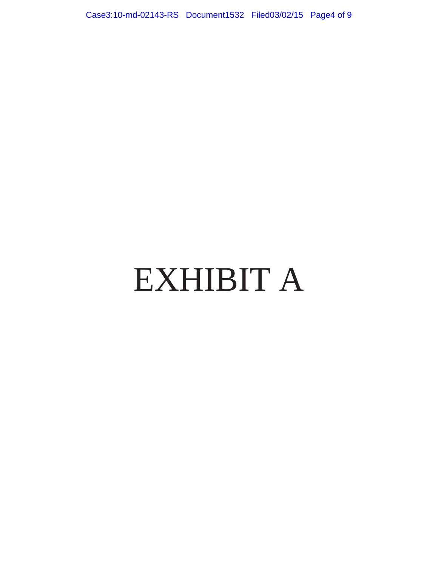Case3:10-md-02143-RS Document1532 Filed03/02/15 Page4 of 9

# EXHIBIT A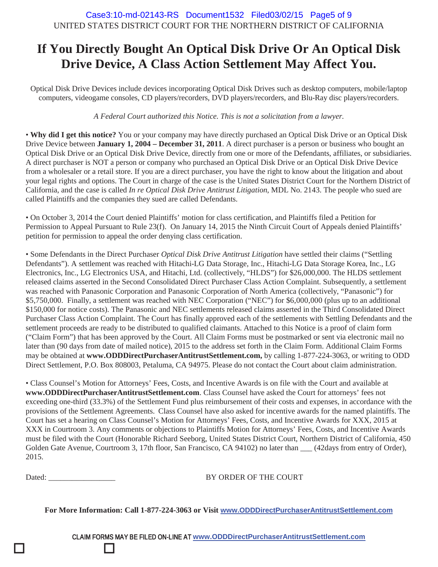# **If You Directly Bought An Optical Disk Drive Or An Optical Disk Drive Device, A Class Action Settlement May Affect You.**

Optical Disk Drive Devices include devices incorporating Optical Disk Drives such as desktop computers, mobile/laptop computers, videogame consoles, CD players/recorders, DVD players/recorders, and Blu-Ray disc players/recorders.

*A Federal Court authorized this Notice. This is not a solicitation from a lawyer.*

• **Why did I get this notice?** You or your company may have directly purchased an Optical Disk Drive or an Optical Disk Drive Device between **January 1, 2004 – December 31, 2011**. A direct purchaser is a person or business who bought an Optical Disk Drive or an Optical Disk Drive Device, directly from one or more of the Defendants, affiliates, or subsidiaries. A direct purchaser is NOT a person or company who purchased an Optical Disk Drive or an Optical Disk Drive Device from a wholesaler or a retail store. If you are a direct purchaser, you have the right to know about the litigation and about your legal rights and options. The Court in charge of the case is the United States District Court for the Northern District of California, and the case is called *In re Optical Disk Drive Antitrust Litigation*, MDL No. 2143. The people who sued are called Plaintiffs and the companies they sued are called Defendants.

• On October 3, 2014 the Court denied Plaintiffs' motion for class certification, and Plaintiffs filed a Petition for Permission to Appeal Pursuant to Rule 23(f). On January 14, 2015 the Ninth Circuit Court of Appeals denied Plaintiffs' petition for permission to appeal the order denying class certification.

• Some Defendants in the Direct Purchaser *Optical Disk Drive Antitrust Litigation* have settled their claims ("Settling Defendants"). A settlement was reached with Hitachi-LG Data Storage, Inc., Hitachi-LG Data Storage Korea, Inc., LG Electronics, Inc., LG Electronics USA, and Hitachi, Ltd. (collectively, "HLDS") for \$26,000,000. The HLDS settlement released claims asserted in the Second Consolidated Direct Purchaser Class Action Complaint. Subsequently, a settlement was reached with Panasonic Corporation and Panasonic Corporation of North America (collectively, "Panasonic") for \$5,750,000. Finally, a settlement was reached with NEC Corporation ("NEC") for \$6,000,000 (plus up to an additional \$150,000 for notice costs). The Panasonic and NEC settlements released claims asserted in the Third Consolidated Direct Purchaser Class Action Complaint. The Court has finally approved each of the settlements with Settling Defendants and the settlement proceeds are ready to be distributed to qualified claimants. Attached to this Notice is a proof of claim form ("Claim Form") that has been approved by the Court. All Claim Forms must be postmarked or sent via electronic mail no later than (90 days from date of mailed notice), 2015 to the address set forth in the Claim Form. Additional Claim Forms may be obtained at **www.ODDDirectPurchaserAntitrustSettlement.com,** by calling 1-877-224-3063, or writing to ODD Direct Settlement, P.O. Box 808003, Petaluma, CA 94975. Please do not contact the Court about claim administration.

• Class Counsel's Motion for Attorneys' Fees, Costs, and Incentive Awards is on file with the Court and available at **www.ODDDirectPurchaserAntitrustSettlement.com**. Class Counsel have asked the Court for attorneys' fees not exceeding one-third (33.3%) of the Settlement Fund plus reimbursement of their costs and expenses, in accordance with the provisions of the Settlement Agreements. Class Counsel have also asked for incentive awards for the named plaintiffs. The Court has set a hearing on Class Counsel's Motion for Attorneys' Fees, Costs, and Incentive Awards for XXX, 2015 at XXX in Courtroom 3. Any comments or objections to Plaintiffs Motion for Attorneys' Fees, Costs, and Incentive Awards must be filed with the Court (Honorable Richard Seeborg, United States District Court, Northern District of California, 450 Golden Gate Avenue, Courtroom 3, 17th floor, San Francisco, CA 94102) no later than \_\_\_ (42days from entry of Order), 2015.

 $\Box$ 

 $\Box$ 

Dated: BY ORDER OF THE COURT

**For More Information: Call 1-877-224-3063 or Visit www.ODDDirectPurchaserAntitrustSettlement.com**

CLAIM FORMS MAY BE FILED ON-LINE AT **www.ODDDirectPurchaserAntitrustSettlement.com**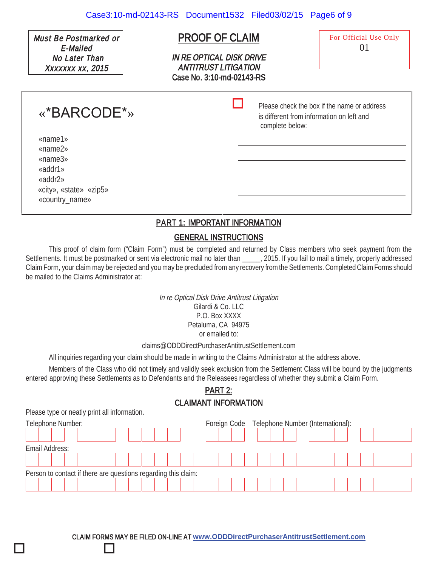Must Be Postmarked or E-Mailed No Later Than Xxxxxxx xx, 2015

# PROOF OF CLAIM

IN RE OPTICAL DISK DRIVE ANTITRUST LITIGATION Case No. 3:10-md-02143-RS

-

For Official Use Only 01

 Please check the box if the name or address is different from information on left and complete below:

«name1» «name2» «name3» «addr1» «addr2» «city», «state» «zip5» «country\_name»

# PART 1: IMPORTANT INFORMATION

## GENERAL INSTRUCTIONS

This proof of claim form ("Claim Form") must be completed and returned by Class members who seek payment from the Settlements. It must be postmarked or sent via electronic mail no later than 2015. If you fail to mail a timely, properly addressed Claim Form, your claim may be rejected and you may be precluded from any recovery from the Settlements. Completed Claim Forms should be mailed to the Claims Administrator at:

> In re Optical Disk Drive Antitrust Litigation Gilardi & Co. LLC P.O. Box XXXX Petaluma, CA 94975 or emailed to:

claims@ODDDirectPurchaserAntitrustSettlement.com

All inquiries regarding your claim should be made in writing to the Claims Administrator at the address above.

Members of the Class who did not timely and validly seek exclusion from the Settlement Class will be bound by the judgments entered approving these Settlements as to Defendants and the Releasees regardless of whether they submit a Claim Form.

# PART 2: CLAIMANT INFORMATION

Please type or neatly print all information.

 $\Box$ 

 $\Box$ 

| Telephone Number: |                                                                |  |  |  |  |  |  |  |  |  |  | Foreign Code Telephone Number (International): |  |  |  |  |  |  |  |  |  |  |  |  |  |  |
|-------------------|----------------------------------------------------------------|--|--|--|--|--|--|--|--|--|--|------------------------------------------------|--|--|--|--|--|--|--|--|--|--|--|--|--|--|
|                   |                                                                |  |  |  |  |  |  |  |  |  |  |                                                |  |  |  |  |  |  |  |  |  |  |  |  |  |  |
|                   | Email Address:                                                 |  |  |  |  |  |  |  |  |  |  |                                                |  |  |  |  |  |  |  |  |  |  |  |  |  |  |
|                   |                                                                |  |  |  |  |  |  |  |  |  |  |                                                |  |  |  |  |  |  |  |  |  |  |  |  |  |  |
|                   | Person to contact if there are questions regarding this claim: |  |  |  |  |  |  |  |  |  |  |                                                |  |  |  |  |  |  |  |  |  |  |  |  |  |  |
|                   |                                                                |  |  |  |  |  |  |  |  |  |  |                                                |  |  |  |  |  |  |  |  |  |  |  |  |  |  |

CLAIM FORMS MAY BE FILED ON-LINE AT **www.ODDDirectPurchaserAntitrustSettlement.com**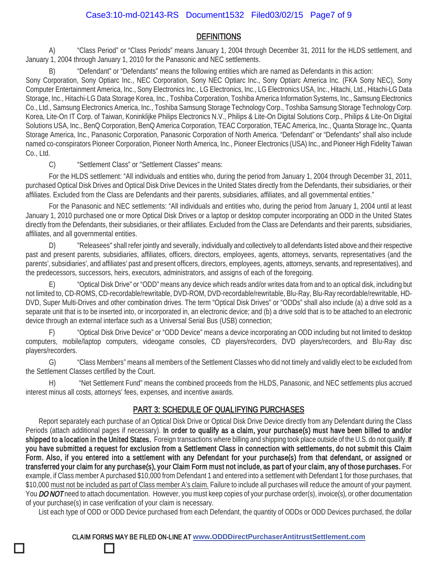## **DEFINITIONS**

A) "Class Period" or "Class Periods" means January 1, 2004 through December 31, 2011 for the HLDS settlement, and January 1, 2004 through January 1, 2010 for the Panasonic and NEC settlements.

"Defendant" or "Defendants" means the following entities which are named as Defendants in this action:

Sony Corporation, Sony Optiarc Inc., NEC Corporation, Sony NEC Optiarc Inc., Sony Optiarc America Inc. (FKA Sony NEC), Sony Computer Entertainment America, Inc., Sony Electronics Inc., LG Electronics, Inc., LG Electronics USA, Inc., Hitachi, Ltd., Hitachi-LG Data Storage, Inc., Hitachi-LG Data Storage Korea, Inc., Toshiba Corporation, Toshiba America Information Systems, Inc., Samsung Electronics Co., Ltd., Samsung Electronics America, Inc., Toshiba Samsung Storage Technology Corp., Toshiba Samsung Storage Technology Corp. Korea, Lite-On IT Corp. of Taiwan, Koninklijke Philips Electronics N.V., Philips & Lite-On Digital Solutions Corp., Philips & Lite-On Digital Solutions USA, Inc., BenQ Corporation, BenQ America Corporation, TEAC Corporation, TEAC America, Inc., Quanta Storage Inc., Quanta Storage America, Inc., Panasonic Corporation, Panasonic Corporation of North America. "Defendant" or "Defendants" shall also include named co-conspirators Pioneer Corporation, Pioneer North America, Inc., Pioneer Electronics (USA) Inc., and Pioneer High Fidelity Taiwan Co., Ltd.

C) "Settlement Class" or "Settlement Classes" means:

 $\Box$ 

 $\Box$ 

For the HLDS settlement: "All individuals and entities who, during the period from January 1, 2004 through December 31, 2011, purchased Optical Disk Drives and Optical Disk Drive Devices in the United States directly from the Defendants, their subsidiaries, or their affiliates. Excluded from the Class are Defendants and their parents, subsidiaries, affiliates, and all governmental entities."

For the Panasonic and NEC settlements: "All individuals and entities who, during the period from January 1, 2004 until at least January 1, 2010 purchased one or more Optical Disk Drives or a laptop or desktop computer incorporating an ODD in the United States directly from the Defendants, their subsidiaries, or their affiliates. Excluded from the Class are Defendants and their parents, subsidiaries, affiliates, and all governmental entities.

D) "Releasees" shall refer jointly and severally, individually and collectively to all defendants listed above and their respective past and present parents, subsidiaries, affiliates, officers, directors, employees, agents, attorneys, servants, representatives (and the parents', subsidiaries', and affiliates' past and present officers, directors, employees, agents, attorneys, servants, and representatives), and the predecessors, successors, heirs, executors, administrators, and assigns of each of the foregoing.

E) "Optical Disk Drive" or "ODD" means any device which reads and/or writes data from and to an optical disk, including but not limited to, CD-ROMS, CD-recordable/rewritable, DVD-ROM, DVD-recordable/rewritable, Blu-Ray, Blu-Ray recordable/rewritable, HD-DVD, Super Multi-Drives and other combination drives. The term "Optical Disk Drives" or "ODDs" shall also include (a) a drive sold as a separate unit that is to be inserted into, or incorporated in, an electronic device; and (b) a drive sold that is to be attached to an electronic device through an external interface such as a Universal Serial Bus (USB) connection;

F) "Optical Disk Drive Device" or "ODD Device" means a device incorporating an ODD including but not limited to desktop computers, mobile/laptop computers, videogame consoles, CD players/recorders, DVD players/recorders, and Blu-Ray disc players/recorders.

G) "Class Members" means all members of the Settlement Classes who did not timely and validly elect to be excluded from the Settlement Classes certified by the Court.

H) "Net Settlement Fund" means the combined proceeds from the HLDS, Panasonic, and NEC settlements plus accrued interest minus all costs, attorneys' fees, expenses, and incentive awards.

#### PART 3: SCHEDULE OF QUALIFYING PURCHASES

Report separately each purchase of an Optical Disk Drive or Optical Disk Drive Device directly from any Defendant during the Class Periods (attach additional pages if necessary). In order to qualify as a claim, your purchase(s) must have been billed to and/or shipped to a location in the United States. Foreign transactions where billing and shipping took place outside of the U.S. do not qualify. If you have submitted a request for exclusion from a Settlement Class in connection with settlements, do not submit this Claim Form. Also, if you entered into a settlement with any Defendant for your purchase(s) from that defendant, or assigned or transferred your claim for any purchase(s), your Claim Form must not include, as part of your claim, any of those purchases. For example, if Class member A purchased \$10,000 from Defendant 1 and entered into a settlement with Defendant 1 for those purchases, that \$10,000 must not be included as part of Class member A's claim. Failure to include all purchases will reduce the amount of your payment. You DO NOT need to attach documentation. However, you must keep copies of your purchase order(s), invoice(s), or other documentation of your purchase(s) in case verification of your claim is necessary.

List each type of ODD or ODD Device purchased from each Defendant, the quantity of ODDs or ODD Devices purchased, the dollar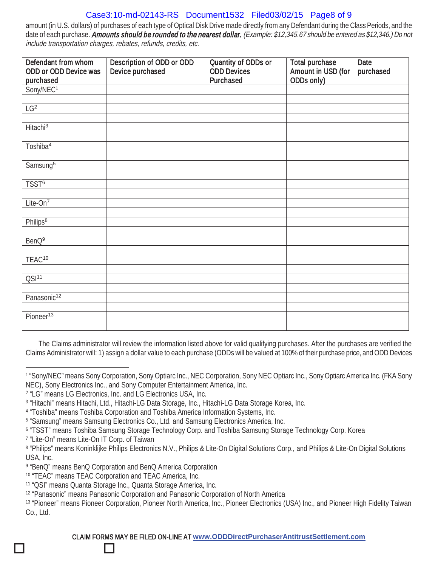# Case3:10-md-02143-RS Document1532 Filed03/02/15 Page8 of 9

amount (in U.S. dollars) of purchases of each type of Optical Disk Drive made directly from any Defendant during the Class Periods, and the date of each purchase. Amounts should be rounded to the nearest dollar. (Example: \$12,345.67 should be entered as \$12,346.) Do not include transportation charges, rebates, refunds, credits, etc.

| Defendant from whom<br>ODD or ODD Device was | Description of ODD or ODD<br>Device purchased | Quantity of ODDs or<br><b>ODD Devices</b> | <b>Total purchase</b><br>Amount in USD (for | Date<br>purchased |  |  |
|----------------------------------------------|-----------------------------------------------|-------------------------------------------|---------------------------------------------|-------------------|--|--|
| purchased                                    |                                               | Purchased                                 | ODDs only)                                  |                   |  |  |
| Sony/NEC <sup>1</sup>                        |                                               |                                           |                                             |                   |  |  |
|                                              |                                               |                                           |                                             |                   |  |  |
| $LG^2$                                       |                                               |                                           |                                             |                   |  |  |
|                                              |                                               |                                           |                                             |                   |  |  |
| Hitachi <sup>3</sup>                         |                                               |                                           |                                             |                   |  |  |
|                                              |                                               |                                           |                                             |                   |  |  |
| Toshiba <sup>4</sup>                         |                                               |                                           |                                             |                   |  |  |
|                                              |                                               |                                           |                                             |                   |  |  |
| Samsung <sup>5</sup>                         |                                               |                                           |                                             |                   |  |  |
| TSST <sup>6</sup>                            |                                               |                                           |                                             |                   |  |  |
|                                              |                                               |                                           |                                             |                   |  |  |
| Lite-On <sup>7</sup>                         |                                               |                                           |                                             |                   |  |  |
|                                              |                                               |                                           |                                             |                   |  |  |
| Philips <sup>8</sup>                         |                                               |                                           |                                             |                   |  |  |
|                                              |                                               |                                           |                                             |                   |  |  |
| BenQ <sup>9</sup>                            |                                               |                                           |                                             |                   |  |  |
|                                              |                                               |                                           |                                             |                   |  |  |
| TEAC <sup>10</sup>                           |                                               |                                           |                                             |                   |  |  |
|                                              |                                               |                                           |                                             |                   |  |  |
| QSI <sup>11</sup>                            |                                               |                                           |                                             |                   |  |  |
|                                              |                                               |                                           |                                             |                   |  |  |
| Panasonic <sup>12</sup>                      |                                               |                                           |                                             |                   |  |  |
|                                              |                                               |                                           |                                             |                   |  |  |
| Pioneer <sup>13</sup>                        |                                               |                                           |                                             |                   |  |  |
|                                              |                                               |                                           |                                             |                   |  |  |

The Claims administrator will review the information listed above for valid qualifying purchases. After the purchases are verified the Claims Administrator will: 1) assign a dollar value to each purchase (ODDs will be valued at 100% of their purchase price, and ODD Devices

 $\Box$ 

 $\Box$ 

<sup>1</sup> "Sony/NEC" means Sony Corporation, Sony Optiarc Inc., NEC Corporation, Sony NEC Optiarc Inc., Sony Optiarc America Inc. (FKA Sony NEC), Sony Electronics Inc., and Sony Computer Entertainment America, Inc.

<sup>2</sup> "LG" means LG Electronics, Inc. and LG Electronics USA, Inc.

<sup>3</sup> "Hitachi" means Hitachi, Ltd., Hitachi-LG Data Storage, Inc., Hitachi-LG Data Storage Korea, Inc.

<sup>4</sup> "Toshiba" means Toshiba Corporation and Toshiba America Information Systems, Inc.

<sup>5</sup> "Samsung" means Samsung Electronics Co., Ltd. and Samsung Electronics America, Inc.

<sup>6</sup> "TSST" means Toshiba Samsung Storage Technology Corp. and Toshiba Samsung Storage Technology Corp. Korea

<sup>7</sup> "Lite-On" means Lite-On IT Corp. of Taiwan

<sup>8 &</sup>quot;Philips" means Koninklijke Philips Electronics N.V., Philips & Lite-On Digital Solutions Corp., and Philips & Lite-On Digital Solutions USA, Inc.

<sup>9</sup> "BenQ" means BenQ Corporation and BenQ America Corporation

<sup>10</sup> "TEAC" means TEAC Corporation and TEAC America, Inc.

<sup>11</sup> "QSI" means Quanta Storage Inc., Quanta Storage America, Inc.

<sup>12</sup> "Panasonic" means Panasonic Corporation and Panasonic Corporation of North America

<sup>13 &</sup>quot;Pioneer" means Pioneer Corporation, Pioneer North America, Inc., Pioneer Electronics (USA) Inc., and Pioneer High Fidelity Taiwan Co., Ltd.